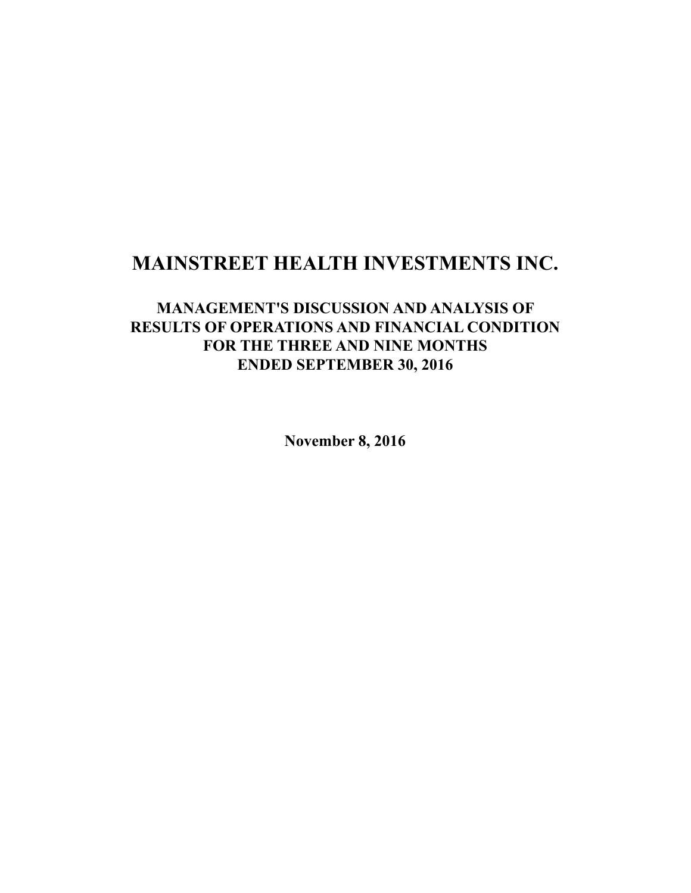# **MAINSTREET HEALTH INVESTMENTS INC.**

## **MANAGEMENT'S DISCUSSION AND ANALYSIS OF RESULTS OF OPERATIONS AND FINANCIAL CONDITION FOR THE THREE AND NINE MONTHS ENDED SEPTEMBER 30, 2016**

**November 8, 2016**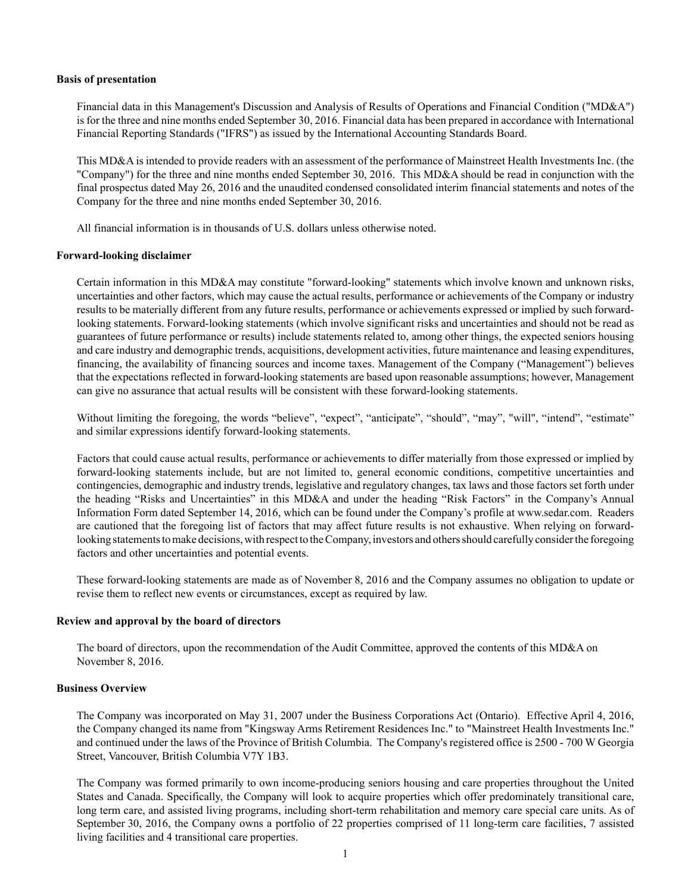#### **Basis of presentation**

Financial data in this Management's Discussion and Analysis of Results of Operations and Financial Condition ("MD&A") is for the three and nine months ended September 30, 2016. Financial data has been prepared in accordance with International Financial Reporting Standards ("IFRS") as issued by the International Accounting Standards Board.

This MD&A is intended to provide readers with an assessment of the performance of Mainstreet Health Investments Inc. (the "Company") for the three and nine months ended September 30, 2016. This MD&A should be read in conjunction with the final prospectus dated May 26, 2016 and the unaudited condensed consolidated interim financial statements and notes of the Company for the three and nine months ended September 30, 2016.

All financial information is in thousands of U.S. dollars unless otherwise noted.

#### **Forward-looking disclaimer**

Certain information in this MD&A may constitute "forward-looking" statements which involve known and unknown risks, uncertainties and other factors, which may cause the actual results, performance or achievements of the Company or industry results to be materially different from any future results, performance or achievements expressed or implied by such forwardlooking statements. Forward-looking statements (which involve significant risks and uncertainties and should not be read as guarantees of future performance or results) include statements related to, among other things, the expected seniors housing and care industry and demographic trends, acquisitions, development activities, future maintenance and leasing expenditures, financing, the availability of financing sources and income taxes. Management of the Company ("Management") believes that the expectations reflected in forward-looking statements are based upon reasonable assumptions; however, Management can give no assurance that actual results will be consistent with these forward-looking statements.

Without limiting the foregoing, the words "believe", "expect", "anticipate", "should", "may", "will", "intend", "estimate" and similar expressions identify forward-looking statements.

Factors that could cause actual results, performance or achievements to differ materially from those expressed or implied by forward-looking statements include, but are not limited to, general economic conditions, competitive uncertainties and contingencies, demographic and industry trends, legislative and regulatory changes, tax laws and those factors set forth under the heading "Risks and Uncertainties" in this MD&A and under the heading "Risk Factors" in the Company's Annual Information Form dated September 14, 2016, which can be found under the Company's profile at www.sedar.com. Readers are cautioned that the foregoing list of factors that may affect future results is not exhaustive. When relying on forwardlooking statements to make decisions, with respect to the Company, investors and others should carefully consider the foregoing factors and other uncertainties and potential events.

These forward-looking statements are made as of November 8, 2016 and the Company assumes no obligation to update or revise them to reflect new events or circumstances, except as required by law.

#### **Review and approval by the board of directors**

The board of directors, upon the recommendation of the Audit Committee, approved the contents of this MD&A on November 8, 2016.

#### **Business Overview**

The Company was incorporated on May 31, 2007 under the Business Corporations Act (Ontario). Effective April 4, 2016, the Company changed its name from "Kingsway Arms Retirement Residences Inc." to "Mainstreet Health Investments Inc." and continued under the laws of the Province of British Columbia. The Company's registered office is 2500 - 700 W Georgia Street, Vancouver, British Columbia V7Y 1B3.

The Company was formed primarily to own income-producing seniors housing and care properties throughout the United States and Canada. Specifically, the Company will look to acquire properties which offer predominately transitional care, long term care, and assisted living programs, including short-term rehabilitation and memory care special care units. As of September 30, 2016, the Company owns a portfolio of 22 properties comprised of 11 long-term care facilities, 7 assisted living facilities and 4 transitional care properties.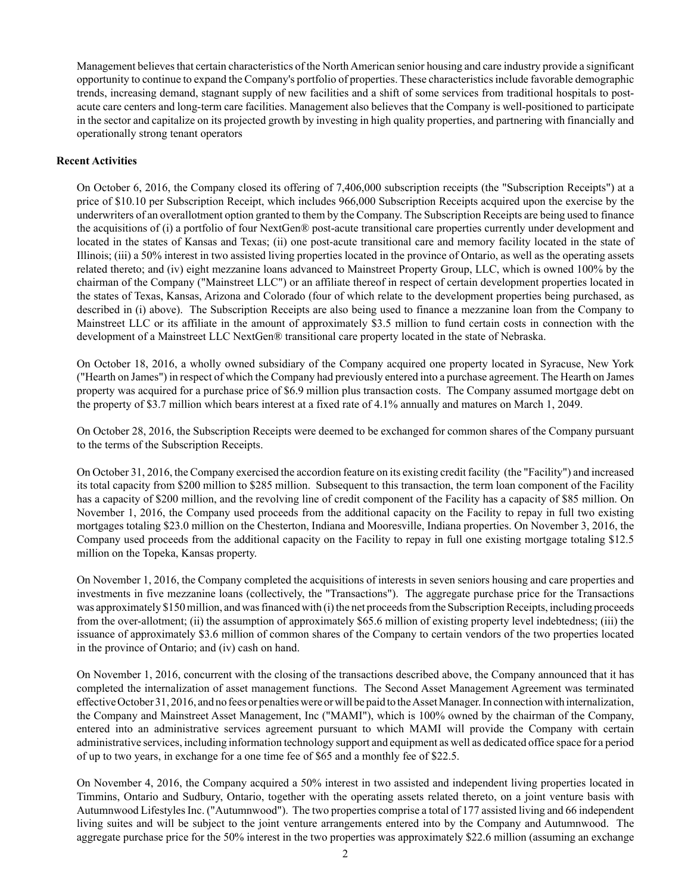Management believes that certain characteristics of the North American senior housing and care industry provide a significant opportunity to continue to expand the Company's portfolio of properties. These characteristics include favorable demographic trends, increasing demand, stagnant supply of new facilities and a shift of some services from traditional hospitals to postacute care centers and long-term care facilities. Management also believes that the Company is well-positioned to participate in the sector and capitalize on its projected growth by investing in high quality properties, and partnering with financially and operationally strong tenant operators

## **Recent Activities**

On October 6, 2016, the Company closed its offering of 7,406,000 subscription receipts (the "Subscription Receipts") at a price of \$10.10 per Subscription Receipt, which includes 966,000 Subscription Receipts acquired upon the exercise by the underwriters of an overallotment option granted to them by the Company. The Subscription Receipts are being used to finance the acquisitions of (i) a portfolio of four NextGen® post-acute transitional care properties currently under development and located in the states of Kansas and Texas; (ii) one post-acute transitional care and memory facility located in the state of Illinois; (iii) a 50% interest in two assisted living properties located in the province of Ontario, as well as the operating assets related thereto; and (iv) eight mezzanine loans advanced to Mainstreet Property Group, LLC, which is owned 100% by the chairman of the Company ("Mainstreet LLC") or an affiliate thereof in respect of certain development properties located in the states of Texas, Kansas, Arizona and Colorado (four of which relate to the development properties being purchased, as described in (i) above). The Subscription Receipts are also being used to finance a mezzanine loan from the Company to Mainstreet LLC or its affiliate in the amount of approximately \$3.5 million to fund certain costs in connection with the development of a Mainstreet LLC NextGen® transitional care property located in the state of Nebraska.

On October 18, 2016, a wholly owned subsidiary of the Company acquired one property located in Syracuse, New York ("Hearth on James") in respect of which the Company had previously entered into a purchase agreement. The Hearth on James property was acquired for a purchase price of \$6.9 million plus transaction costs. The Company assumed mortgage debt on the property of \$3.7 million which bears interest at a fixed rate of 4.1% annually and matures on March 1, 2049.

On October 28, 2016, the Subscription Receipts were deemed to be exchanged for common shares of the Company pursuant to the terms of the Subscription Receipts.

On October 31, 2016, the Company exercised the accordion feature on its existing credit facility (the "Facility") and increased its total capacity from \$200 million to \$285 million. Subsequent to this transaction, the term loan component of the Facility has a capacity of \$200 million, and the revolving line of credit component of the Facility has a capacity of \$85 million. On November 1, 2016, the Company used proceeds from the additional capacity on the Facility to repay in full two existing mortgages totaling \$23.0 million on the Chesterton, Indiana and Mooresville, Indiana properties. On November 3, 2016, the Company used proceeds from the additional capacity on the Facility to repay in full one existing mortgage totaling \$12.5 million on the Topeka, Kansas property.

On November 1, 2016, the Company completed the acquisitions of interests in seven seniors housing and care properties and investments in five mezzanine loans (collectively, the "Transactions"). The aggregate purchase price for the Transactions was approximately \$150 million, and was financed with (i) the net proceeds from the Subscription Receipts, including proceeds from the over-allotment; (ii) the assumption of approximately \$65.6 million of existing property level indebtedness; (iii) the issuance of approximately \$3.6 million of common shares of the Company to certain vendors of the two properties located in the province of Ontario; and (iv) cash on hand.

On November 1, 2016, concurrent with the closing of the transactions described above, the Company announced that it has completed the internalization of asset management functions. The Second Asset Management Agreement was terminated effective October 31, 2016, and no fees or penalties were or will be paid to the Asset Manager. In connection with internalization, the Company and Mainstreet Asset Management, Inc ("MAMI"), which is 100% owned by the chairman of the Company, entered into an administrative services agreement pursuant to which MAMI will provide the Company with certain administrative services, including information technology support and equipment as well as dedicated office space for a period of up to two years, in exchange for a one time fee of \$65 and a monthly fee of \$22.5.

On November 4, 2016, the Company acquired a 50% interest in two assisted and independent living properties located in Timmins, Ontario and Sudbury, Ontario, together with the operating assets related thereto, on a joint venture basis with Autumnwood Lifestyles Inc. ("Autumnwood"). The two properties comprise a total of 177 assisted living and 66 independent living suites and will be subject to the joint venture arrangements entered into by the Company and Autumnwood. The aggregate purchase price for the 50% interest in the two properties was approximately \$22.6 million (assuming an exchange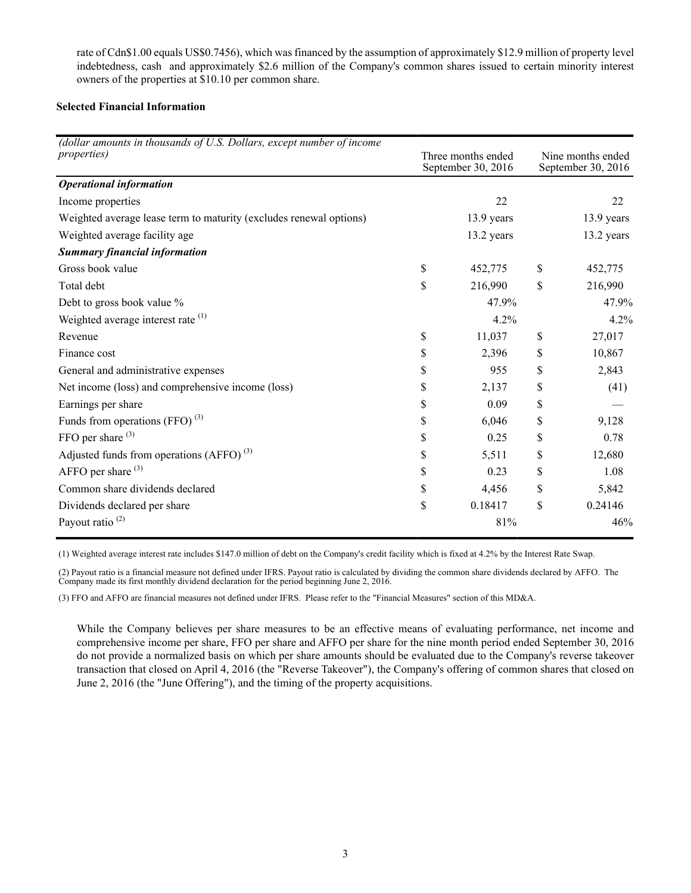rate of Cdn\$1.00 equals US\$0.7456), which was financed by the assumption of approximately \$12.9 million of property level indebtedness, cash and approximately \$2.6 million of the Company's common shares issued to certain minority interest owners of the properties at \$10.10 per common share.

## **Selected Financial Information**

| (dollar amounts in thousands of U.S. Dollars, except number of income<br><i>properties</i> ) | Three months ended<br>September 30, 2016 |            | Nine months ended<br>September 30, 2016 |            |
|----------------------------------------------------------------------------------------------|------------------------------------------|------------|-----------------------------------------|------------|
| <b>Operational information</b>                                                               |                                          |            |                                         |            |
| Income properties                                                                            |                                          | 22         |                                         | 22         |
| Weighted average lease term to maturity (excludes renewal options)                           |                                          | 13.9 years |                                         | 13.9 years |
| Weighted average facility age                                                                |                                          | 13.2 years |                                         | 13.2 years |
| <b>Summary financial information</b>                                                         |                                          |            |                                         |            |
| Gross book value                                                                             | \$                                       | 452,775    | \$                                      | 452,775    |
| Total debt                                                                                   | \$                                       | 216,990    | \$                                      | 216,990    |
| Debt to gross book value %                                                                   |                                          | 47.9%      |                                         | 47.9%      |
| Weighted average interest rate (1)                                                           |                                          | 4.2%       |                                         | 4.2%       |
| Revenue                                                                                      | \$                                       | 11,037     | \$                                      | 27,017     |
| Finance cost                                                                                 | \$                                       | 2,396      | \$                                      | 10,867     |
| General and administrative expenses                                                          | \$                                       | 955        | \$                                      | 2,843      |
| Net income (loss) and comprehensive income (loss)                                            | \$                                       | 2,137      | \$                                      | (41)       |
| Earnings per share                                                                           | \$                                       | 0.09       | \$                                      |            |
| Funds from operations (FFO) $^{(3)}$                                                         | \$                                       | 6,046      | \$                                      | 9,128      |
| FFO per share <sup>(3)</sup>                                                                 | \$                                       | 0.25       | \$                                      | 0.78       |
| Adjusted funds from operations (AFFO) $^{(3)}$                                               | \$                                       | 5,511      | \$                                      | 12,680     |
| AFFO per share $(3)$                                                                         | \$                                       | 0.23       | \$                                      | 1.08       |
| Common share dividends declared                                                              | \$                                       | 4,456      | \$                                      | 5,842      |
| Dividends declared per share                                                                 | \$                                       | 0.18417    | \$                                      | 0.24146    |
| Payout ratio $(2)$                                                                           |                                          | 81%        |                                         | 46%        |

(1) Weighted average interest rate includes \$147.0 million of debt on the Company's credit facility which is fixed at 4.2% by the Interest Rate Swap.

(2) Payout ratio is a financial measure not defined under IFRS. Payout ratio is calculated by dividing the common share dividends declared by AFFO. The Company made its first monthly dividend declaration for the period beginning June 2, 2016.

(3) FFO and AFFO are financial measures not defined under IFRS. Please refer to the "Financial Measures" section of this MD&A.

While the Company believes per share measures to be an effective means of evaluating performance, net income and comprehensive income per share, FFO per share and AFFO per share for the nine month period ended September 30, 2016 do not provide a normalized basis on which per share amounts should be evaluated due to the Company's reverse takeover transaction that closed on April 4, 2016 (the "Reverse Takeover"), the Company's offering of common shares that closed on June 2, 2016 (the "June Offering"), and the timing of the property acquisitions.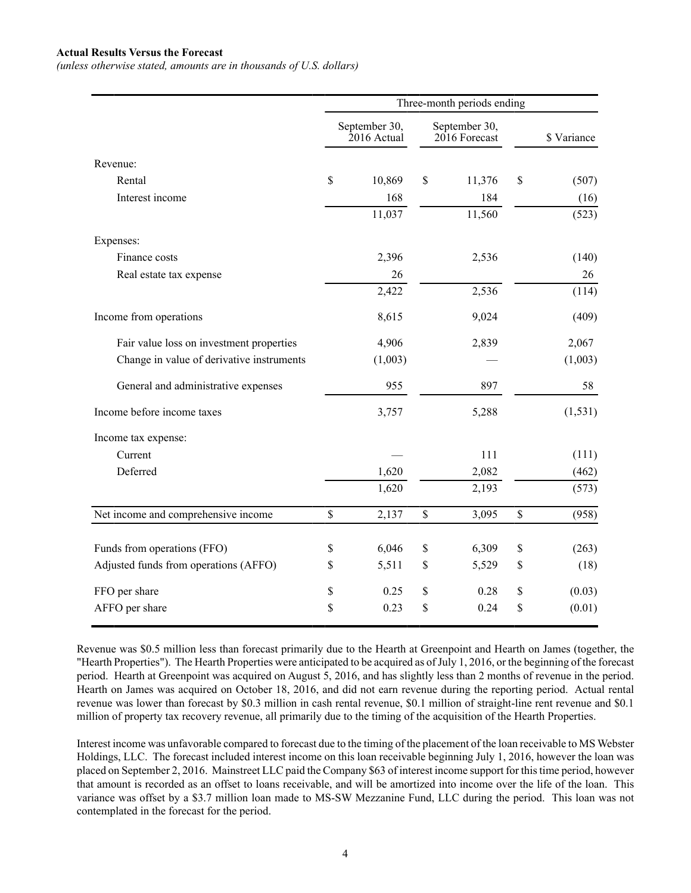#### **Actual Results Versus the Forecast**

*(unless otherwise stated, amounts are in thousands of U.S. dollars)*

|                                           | Three-month periods ending   |         |                                  |        |             |             |
|-------------------------------------------|------------------------------|---------|----------------------------------|--------|-------------|-------------|
|                                           | September 30,<br>2016 Actual |         | September 30,<br>$2016$ Forecast |        |             | \$ Variance |
| Revenue:                                  |                              |         |                                  |        |             |             |
| Rental                                    | \$                           | 10,869  | \$                               | 11,376 | \$          | (507)       |
| Interest income                           |                              | 168     |                                  | 184    |             | (16)        |
|                                           |                              | 11,037  |                                  | 11,560 |             | (523)       |
| Expenses:                                 |                              |         |                                  |        |             |             |
| Finance costs                             |                              | 2,396   |                                  | 2,536  |             | (140)       |
| Real estate tax expense                   |                              | 26      |                                  |        |             | 26          |
|                                           |                              | 2,422   |                                  | 2,536  |             | (114)       |
| Income from operations                    |                              | 8,615   |                                  | 9,024  |             | (409)       |
| Fair value loss on investment properties  |                              | 4,906   |                                  | 2,839  |             | 2,067       |
| Change in value of derivative instruments |                              | (1,003) |                                  |        |             | (1,003)     |
| General and administrative expenses       |                              | 955     |                                  | 897    |             | 58          |
| Income before income taxes                |                              | 3,757   |                                  | 5,288  |             | (1, 531)    |
| Income tax expense:                       |                              |         |                                  |        |             |             |
| Current                                   |                              |         |                                  | 111    |             | (111)       |
| Deferred                                  |                              | 1,620   |                                  | 2,082  |             | (462)       |
|                                           |                              | 1,620   |                                  | 2,193  |             | (573)       |
| Net income and comprehensive income       | \$                           | 2,137   | $\mathbb S$                      | 3,095  | $\mathbb S$ | (958)       |
| Funds from operations (FFO)               | \$                           | 6,046   | \$                               | 6,309  | \$          | (263)       |
| Adjusted funds from operations (AFFO)     | \$                           | 5,511   | \$                               | 5,529  | \$          | (18)        |
| FFO per share                             | \$                           | 0.25    | \$                               | 0.28   | \$          | (0.03)      |
| AFFO per share                            | \$                           | 0.23    | \$                               | 0.24   | \$          | (0.01)      |

Revenue was \$0.5 million less than forecast primarily due to the Hearth at Greenpoint and Hearth on James (together, the "Hearth Properties"). The Hearth Properties were anticipated to be acquired as of July 1, 2016, or the beginning of the forecast period. Hearth at Greenpoint was acquired on August 5, 2016, and has slightly less than 2 months of revenue in the period. Hearth on James was acquired on October 18, 2016, and did not earn revenue during the reporting period. Actual rental revenue was lower than forecast by \$0.3 million in cash rental revenue, \$0.1 million of straight-line rent revenue and \$0.1 million of property tax recovery revenue, all primarily due to the timing of the acquisition of the Hearth Properties.

Interest income was unfavorable compared to forecast due to the timing of the placement of the loan receivable to MS Webster Holdings, LLC. The forecast included interest income on this loan receivable beginning July 1, 2016, however the loan was placed on September 2, 2016. Mainstreet LLC paid the Company \$63 of interest income support for this time period, however that amount is recorded as an offset to loans receivable, and will be amortized into income over the life of the loan. This variance was offset by a \$3.7 million loan made to MS-SW Mezzanine Fund, LLC during the period. This loan was not contemplated in the forecast for the period.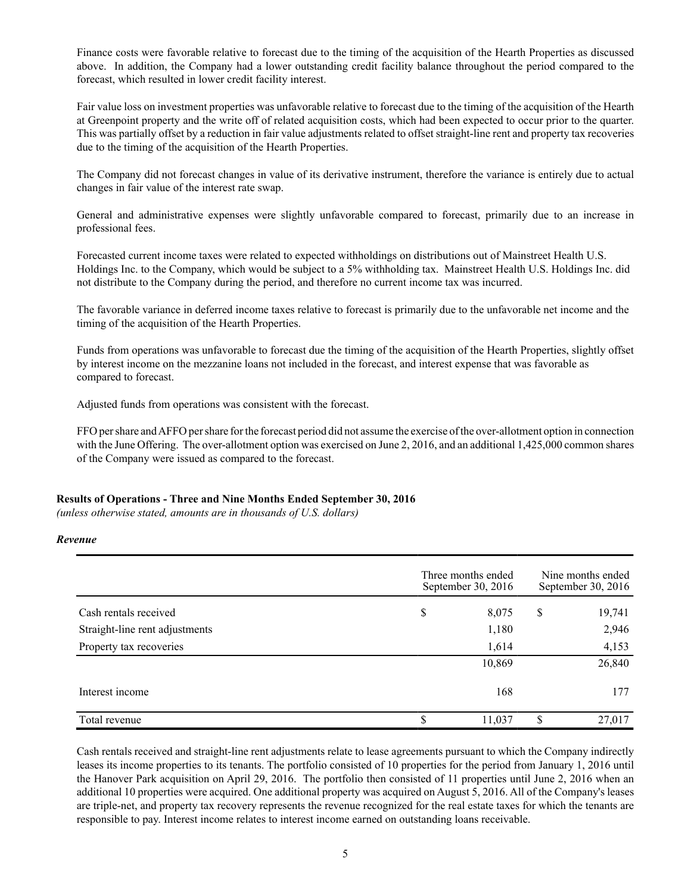Finance costs were favorable relative to forecast due to the timing of the acquisition of the Hearth Properties as discussed above. In addition, the Company had a lower outstanding credit facility balance throughout the period compared to the forecast, which resulted in lower credit facility interest.

Fair value loss on investment properties was unfavorable relative to forecast due to the timing of the acquisition of the Hearth at Greenpoint property and the write off of related acquisition costs, which had been expected to occur prior to the quarter. This was partially offset by a reduction in fair value adjustments related to offset straight-line rent and property tax recoveries due to the timing of the acquisition of the Hearth Properties.

The Company did not forecast changes in value of its derivative instrument, therefore the variance is entirely due to actual changes in fair value of the interest rate swap.

General and administrative expenses were slightly unfavorable compared to forecast, primarily due to an increase in professional fees.

Forecasted current income taxes were related to expected withholdings on distributions out of Mainstreet Health U.S. Holdings Inc. to the Company, which would be subject to a 5% withholding tax. Mainstreet Health U.S. Holdings Inc. did not distribute to the Company during the period, and therefore no current income tax was incurred.

The favorable variance in deferred income taxes relative to forecast is primarily due to the unfavorable net income and the timing of the acquisition of the Hearth Properties.

Funds from operations was unfavorable to forecast due the timing of the acquisition of the Hearth Properties, slightly offset by interest income on the mezzanine loans not included in the forecast, and interest expense that was favorable as compared to forecast.

Adjusted funds from operations was consistent with the forecast.

FFO per share and AFFO per share for the forecast period did not assume the exercise of the over-allotment option in connection with the June Offering. The over-allotment option was exercised on June 2, 2016, and an additional 1,425,000 common shares of the Company were issued as compared to the forecast.

## **Results of Operations - Three and Nine Months Ended September 30, 2016**

*(unless otherwise stated, amounts are in thousands of U.S. dollars)*

#### *Revenue*

|                                |    | Three months ended<br>September 30, 2016 |    |        |
|--------------------------------|----|------------------------------------------|----|--------|
| Cash rentals received          | \$ | 8,075                                    | \$ | 19,741 |
| Straight-line rent adjustments |    | 1,180                                    |    | 2,946  |
| Property tax recoveries        |    | 1,614                                    |    | 4,153  |
|                                |    | 10,869                                   |    | 26,840 |
| Interest income                |    | 168                                      |    | 177    |
| Total revenue                  | S  | 11,037                                   | S  | 27,017 |

Cash rentals received and straight-line rent adjustments relate to lease agreements pursuant to which the Company indirectly leases its income properties to its tenants. The portfolio consisted of 10 properties for the period from January 1, 2016 until the Hanover Park acquisition on April 29, 2016. The portfolio then consisted of 11 properties until June 2, 2016 when an additional 10 properties were acquired. One additional property was acquired on August 5, 2016. All of the Company's leases are triple-net, and property tax recovery represents the revenue recognized for the real estate taxes for which the tenants are responsible to pay. Interest income relates to interest income earned on outstanding loans receivable.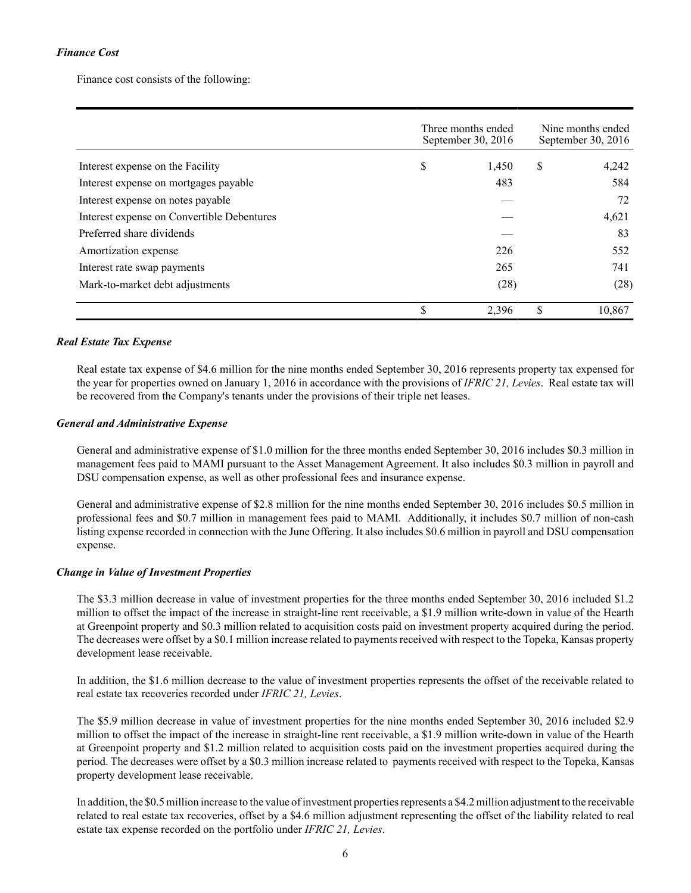## *Finance Cost*

Finance cost consists of the following:

|                                            | Three months ended<br>September 30, 2016 |       |    | Nine months ended<br>September 30, 2016 |  |  |
|--------------------------------------------|------------------------------------------|-------|----|-----------------------------------------|--|--|
| Interest expense on the Facility           | \$                                       | 1,450 | \$ | 4,242                                   |  |  |
| Interest expense on mortgages payable      |                                          | 483   |    | 584                                     |  |  |
| Interest expense on notes payable          |                                          |       |    | 72                                      |  |  |
| Interest expense on Convertible Debentures |                                          |       |    | 4,621                                   |  |  |
| Preferred share dividends                  |                                          |       |    | 83                                      |  |  |
| Amortization expense                       |                                          | 226   |    | 552                                     |  |  |
| Interest rate swap payments                |                                          | 265   |    | 741                                     |  |  |
| Mark-to-market debt adjustments            |                                          | (28)  |    | (28)                                    |  |  |
|                                            | S                                        | 2,396 | \$ | 10,867                                  |  |  |

## *Real Estate Tax Expense*

Real estate tax expense of \$4.6 million for the nine months ended September 30, 2016 represents property tax expensed for the year for properties owned on January 1, 2016 in accordance with the provisions of *IFRIC 21, Levies*. Real estate tax will be recovered from the Company's tenants under the provisions of their triple net leases.

## *General and Administrative Expense*

General and administrative expense of \$1.0 million for the three months ended September 30, 2016 includes \$0.3 million in management fees paid to MAMI pursuant to the Asset Management Agreement. It also includes \$0.3 million in payroll and DSU compensation expense, as well as other professional fees and insurance expense.

General and administrative expense of \$2.8 million for the nine months ended September 30, 2016 includes \$0.5 million in professional fees and \$0.7 million in management fees paid to MAMI. Additionally, it includes \$0.7 million of non-cash listing expense recorded in connection with the June Offering. It also includes \$0.6 million in payroll and DSU compensation expense.

#### *Change in Value of Investment Properties*

The \$3.3 million decrease in value of investment properties for the three months ended September 30, 2016 included \$1.2 million to offset the impact of the increase in straight-line rent receivable, a \$1.9 million write-down in value of the Hearth at Greenpoint property and \$0.3 million related to acquisition costs paid on investment property acquired during the period. The decreases were offset by a \$0.1 million increase related to payments received with respect to the Topeka, Kansas property development lease receivable.

In addition, the \$1.6 million decrease to the value of investment properties represents the offset of the receivable related to real estate tax recoveries recorded under *IFRIC 21, Levies*.

The \$5.9 million decrease in value of investment properties for the nine months ended September 30, 2016 included \$2.9 million to offset the impact of the increase in straight-line rent receivable, a \$1.9 million write-down in value of the Hearth at Greenpoint property and \$1.2 million related to acquisition costs paid on the investment properties acquired during the period. The decreases were offset by a \$0.3 million increase related to payments received with respect to the Topeka, Kansas property development lease receivable.

In addition, the \$0.5 million increase to the value of investment properties represents a \$4.2 million adjustment to the receivable related to real estate tax recoveries, offset by a \$4.6 million adjustment representing the offset of the liability related to real estate tax expense recorded on the portfolio under *IFRIC 21, Levies*.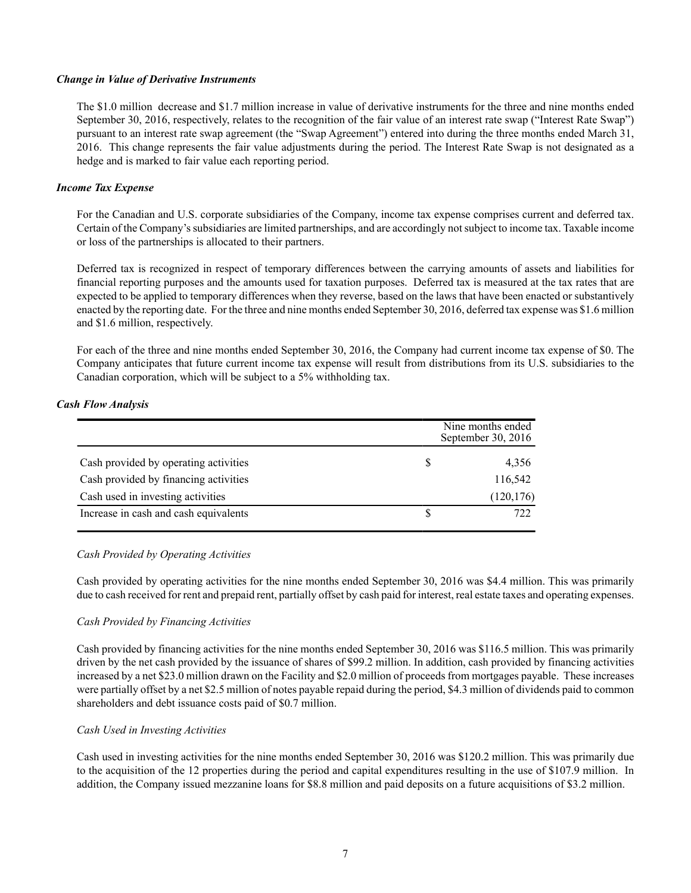#### *Change in Value of Derivative Instruments*

The \$1.0 million decrease and \$1.7 million increase in value of derivative instruments for the three and nine months ended September 30, 2016, respectively, relates to the recognition of the fair value of an interest rate swap ("Interest Rate Swap") pursuant to an interest rate swap agreement (the "Swap Agreement") entered into during the three months ended March 31, 2016. This change represents the fair value adjustments during the period. The Interest Rate Swap is not designated as a hedge and is marked to fair value each reporting period.

## *Income Tax Expense*

For the Canadian and U.S. corporate subsidiaries of the Company, income tax expense comprises current and deferred tax. Certain of the Company's subsidiaries are limited partnerships, and are accordingly not subject to income tax. Taxable income or loss of the partnerships is allocated to their partners.

Deferred tax is recognized in respect of temporary differences between the carrying amounts of assets and liabilities for financial reporting purposes and the amounts used for taxation purposes. Deferred tax is measured at the tax rates that are expected to be applied to temporary differences when they reverse, based on the laws that have been enacted or substantively enacted by the reporting date. For the three and nine months ended September 30, 2016, deferred tax expense was \$1.6 million and \$1.6 million, respectively.

For each of the three and nine months ended September 30, 2016, the Company had current income tax expense of \$0. The Company anticipates that future current income tax expense will result from distributions from its U.S. subsidiaries to the Canadian corporation, which will be subject to a 5% withholding tax.

## *Cash Flow Analysis*

|                                       | Nine months ended<br>September 30, 2016 |
|---------------------------------------|-----------------------------------------|
| Cash provided by operating activities | 4,356                                   |
| Cash provided by financing activities | 116,542                                 |
| Cash used in investing activities     | (120, 176)                              |
| Increase in cash and cash equivalents | 722                                     |

## *Cash Provided by Operating Activities*

Cash provided by operating activities for the nine months ended September 30, 2016 was \$4.4 million. This was primarily due to cash received for rent and prepaid rent, partially offset by cash paid for interest, real estate taxes and operating expenses.

#### *Cash Provided by Financing Activities*

Cash provided by financing activities for the nine months ended September 30, 2016 was \$116.5 million. This was primarily driven by the net cash provided by the issuance of shares of \$99.2 million. In addition, cash provided by financing activities increased by a net \$23.0 million drawn on the Facility and \$2.0 million of proceeds from mortgages payable. These increases were partially offset by a net \$2.5 million of notes payable repaid during the period, \$4.3 million of dividends paid to common shareholders and debt issuance costs paid of \$0.7 million.

#### *Cash Used in Investing Activities*

Cash used in investing activities for the nine months ended September 30, 2016 was \$120.2 million. This was primarily due to the acquisition of the 12 properties during the period and capital expenditures resulting in the use of \$107.9 million. In addition, the Company issued mezzanine loans for \$8.8 million and paid deposits on a future acquisitions of \$3.2 million.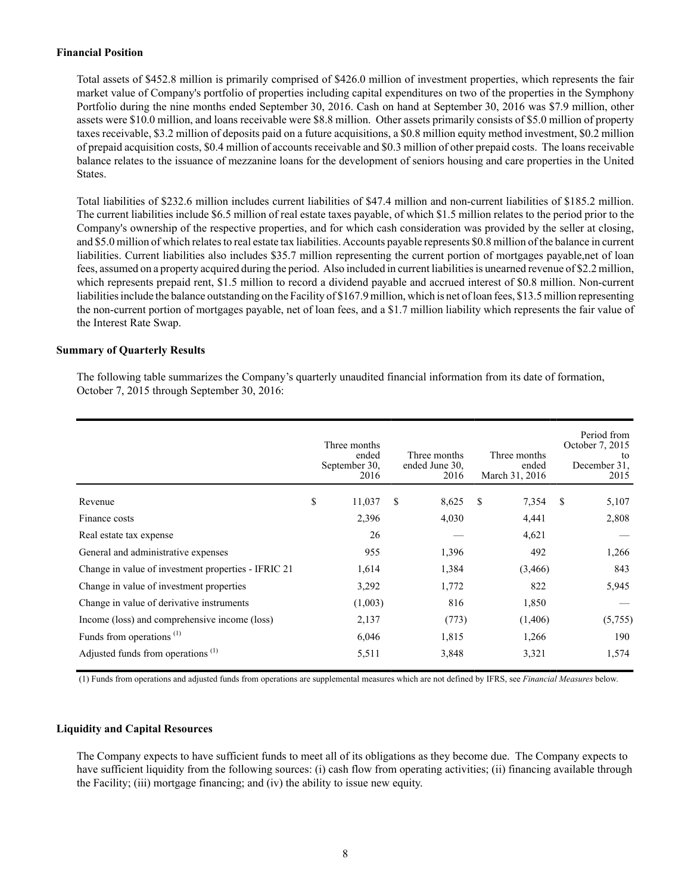## **Financial Position**

Total assets of \$452.8 million is primarily comprised of \$426.0 million of investment properties, which represents the fair market value of Company's portfolio of properties including capital expenditures on two of the properties in the Symphony Portfolio during the nine months ended September 30, 2016. Cash on hand at September 30, 2016 was \$7.9 million, other assets were \$10.0 million, and loans receivable were \$8.8 million. Other assets primarily consists of \$5.0 million of property taxes receivable, \$3.2 million of deposits paid on a future acquisitions, a \$0.8 million equity method investment, \$0.2 million of prepaid acquisition costs, \$0.4 million of accounts receivable and \$0.3 million of other prepaid costs. The loans receivable balance relates to the issuance of mezzanine loans for the development of seniors housing and care properties in the United States.

Total liabilities of \$232.6 million includes current liabilities of \$47.4 million and non-current liabilities of \$185.2 million. The current liabilities include \$6.5 million of real estate taxes payable, of which \$1.5 million relates to the period prior to the Company's ownership of the respective properties, and for which cash consideration was provided by the seller at closing, and \$5.0 million of which relates to real estate tax liabilities. Accounts payable represents \$0.8 million of the balance in current liabilities. Current liabilities also includes \$35.7 million representing the current portion of mortgages payable,net of loan fees, assumed on a property acquired during the period. Also included in current liabilities is unearned revenue of \$2.2 million, which represents prepaid rent, \$1.5 million to record a dividend payable and accrued interest of \$0.8 million. Non-current liabilities include the balance outstanding on the Facility of \$167.9 million, which is net of loan fees, \$13.5 million representing the non-current portion of mortgages payable, net of loan fees, and a \$1.7 million liability which represents the fair value of the Interest Rate Swap.

## **Summary of Quarterly Results**

The following table summarizes the Company's quarterly unaudited financial information from its date of formation, October 7, 2015 through September 30, 2016:

|                                                     | Three months<br>ended<br>September 30,<br>2016 | Three months<br>ended June 30.<br>2016 | Three months<br>ended<br>March 31, 2016 |   | Period from<br>October 7, 2015<br>to<br>December 31.<br>2015 |
|-----------------------------------------------------|------------------------------------------------|----------------------------------------|-----------------------------------------|---|--------------------------------------------------------------|
| Revenue                                             | \$<br>11,037                                   | \$<br>8,625                            | <sup>\$</sup><br>7,354                  | S | 5,107                                                        |
| Finance costs                                       | 2,396                                          | 4,030                                  | 4,441                                   |   | 2,808                                                        |
| Real estate tax expense                             | 26                                             |                                        | 4,621                                   |   |                                                              |
| General and administrative expenses                 | 955                                            | 1,396                                  | 492                                     |   | 1,266                                                        |
| Change in value of investment properties - IFRIC 21 | 1,614                                          | 1,384                                  | (3,466)                                 |   | 843                                                          |
| Change in value of investment properties            | 3,292                                          | 1,772                                  | 822                                     |   | 5,945                                                        |
| Change in value of derivative instruments           | (1,003)                                        | 816                                    | 1,850                                   |   |                                                              |
| Income (loss) and comprehensive income (loss)       | 2,137                                          | (773)                                  | (1,406)                                 |   | (5,755)                                                      |
| Funds from operations $(1)$                         | 6,046                                          | 1,815                                  | 1,266                                   |   | 190                                                          |
| Adjusted funds from operations <sup>(1)</sup>       | 5,511                                          | 3,848                                  | 3,321                                   |   | 1,574                                                        |

(1) Funds from operations and adjusted funds from operations are supplemental measures which are not defined by IFRS, see *Financial Measures* below.

#### **Liquidity and Capital Resources**

The Company expects to have sufficient funds to meet all of its obligations as they become due. The Company expects to have sufficient liquidity from the following sources: (i) cash flow from operating activities; (ii) financing available through the Facility; (iii) mortgage financing; and (iv) the ability to issue new equity.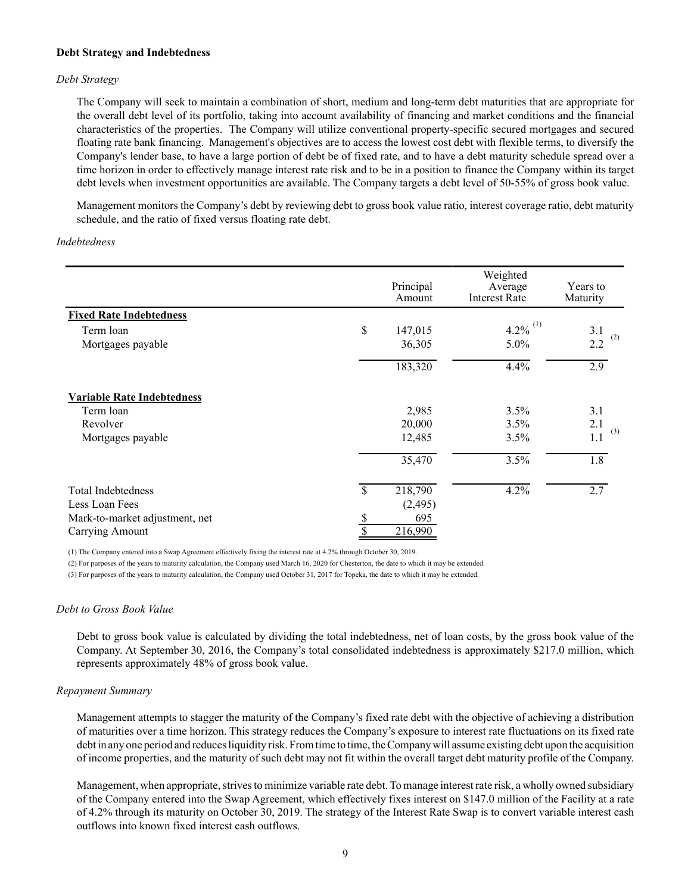#### **Debt Strategy and Indebtedness**

## *Debt Strategy*

The Company will seek to maintain a combination of short, medium and long-term debt maturities that are appropriate for the overall debt level of its portfolio, taking into account availability of financing and market conditions and the financial characteristics of the properties. The Company will utilize conventional property-specific secured mortgages and secured floating rate bank financing. Management's objectives are to access the lowest cost debt with flexible terms, to diversify the Company's lender base, to have a large portion of debt be of fixed rate, and to have a debt maturity schedule spread over a time horizon in order to effectively manage interest rate risk and to be in a position to finance the Company within its target debt levels when investment opportunities are available. The Company targets a debt level of 50-55% of gross book value.

Management monitors the Company's debt by reviewing debt to gross book value ratio, interest coverage ratio, debt maturity schedule, and the ratio of fixed versus floating rate debt.

#### *Indebtedness*

|                                   |              | Principal<br>Amount | Weighted<br>Average<br><b>Interest Rate</b> | Years to<br>Maturity |
|-----------------------------------|--------------|---------------------|---------------------------------------------|----------------------|
| <b>Fixed Rate Indebtedness</b>    |              |                     |                                             |                      |
| Term loan                         | \$           | 147,015             | 4.2% $^{(1)}$                               | 3.1                  |
| Mortgages payable                 |              | 36,305              | 5.0%                                        | (2)<br>2.2           |
|                                   |              | 183,320             | 4.4%                                        | $\overline{2.9}$     |
| <b>Variable Rate Indebtedness</b> |              |                     |                                             |                      |
| Term loan                         |              | 2,985               | 3.5%                                        | 3.1                  |
| Revolver                          |              | 20,000              | 3.5%                                        | 2.1<br>(3)           |
| Mortgages payable                 |              | 12,485              | 3.5%                                        | 1.1                  |
|                                   |              | 35,470              | 3.5%                                        | 1.8                  |
| <b>Total Indebtedness</b>         | $\mathbb{S}$ | 218,790             | 4.2%                                        | 2.7                  |
| Less Loan Fees                    |              | (2, 495)            |                                             |                      |
| Mark-to-market adjustment, net    | \$           | 695                 |                                             |                      |
| Carrying Amount                   | \$           | 216,990             |                                             |                      |

(1) The Company entered into a Swap Agreement effectively fixing the interest rate at 4.2% through October 30, 2019.

(2) For purposes of the years to maturity calculation, the Company used March 16, 2020 for Chesterton, the date to which it may be extended.

(3) For purposes of the years to maturity calculation, the Company used October 31, 2017 for Topeka, the date to which it may be extended.

#### *Debt to Gross Book Value*

Debt to gross book value is calculated by dividing the total indebtedness, net of loan costs, by the gross book value of the Company. At September 30, 2016, the Company's total consolidated indebtedness is approximately \$217.0 million, which represents approximately 48% of gross book value.

#### *Repayment Summary*

Management attempts to stagger the maturity of the Company's fixed rate debt with the objective of achieving a distribution of maturities over a time horizon. This strategy reduces the Company's exposure to interest rate fluctuations on its fixed rate debt in any one period and reduces liquidity risk. From time to time, the Company will assume existing debt upon the acquisition of income properties, and the maturity of such debt may not fit within the overall target debt maturity profile of the Company.

Management, when appropriate, strives to minimize variable rate debt. To manage interest rate risk, a wholly owned subsidiary of the Company entered into the Swap Agreement, which effectively fixes interest on \$147.0 million of the Facility at a rate of 4.2% through its maturity on October 30, 2019. The strategy of the Interest Rate Swap is to convert variable interest cash outflows into known fixed interest cash outflows.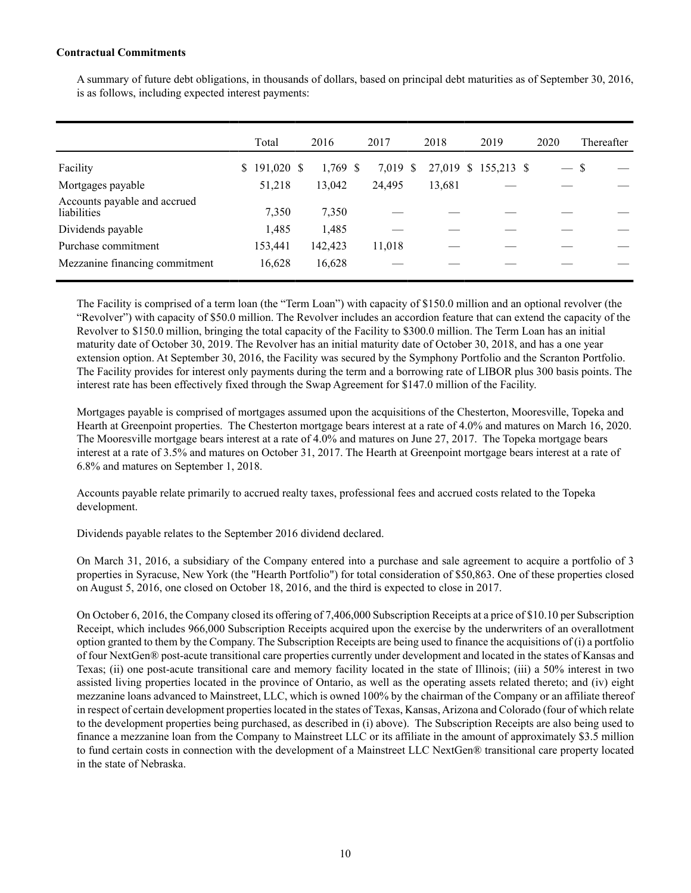## **Contractual Commitments**

A summary of future debt obligations, in thousands of dollars, based on principal debt maturities as of September 30, 2016, is as follows, including expected interest payments:

|                                             | Total            | 2016       | 2017     | 2018   | 2019                 | 2020          | Thereafter |
|---------------------------------------------|------------------|------------|----------|--------|----------------------|---------------|------------|
| Facility                                    | 191,020 \$<br>\$ | $1,769$ \$ | 7,019 \$ |        | 27,019 \$ 155,213 \$ | $\frac{1}{2}$ | S          |
| Mortgages payable                           | 51,218           | 13,042     | 24.495   | 13,681 |                      |               |            |
| Accounts payable and accrued<br>liabilities | 7,350            | 7,350      |          |        |                      |               |            |
| Dividends payable                           | 1,485            | 1,485      |          |        |                      |               |            |
| Purchase commitment                         | 153,441          | 142,423    | 11,018   |        |                      |               |            |
| Mezzanine financing commitment              | 16,628           | 16,628     |          |        |                      |               |            |

The Facility is comprised of a term loan (the "Term Loan") with capacity of \$150.0 million and an optional revolver (the "Revolver") with capacity of \$50.0 million. The Revolver includes an accordion feature that can extend the capacity of the Revolver to \$150.0 million, bringing the total capacity of the Facility to \$300.0 million. The Term Loan has an initial maturity date of October 30, 2019. The Revolver has an initial maturity date of October 30, 2018, and has a one year extension option. At September 30, 2016, the Facility was secured by the Symphony Portfolio and the Scranton Portfolio. The Facility provides for interest only payments during the term and a borrowing rate of LIBOR plus 300 basis points. The interest rate has been effectively fixed through the Swap Agreement for \$147.0 million of the Facility.

Mortgages payable is comprised of mortgages assumed upon the acquisitions of the Chesterton, Mooresville, Topeka and Hearth at Greenpoint properties. The Chesterton mortgage bears interest at a rate of 4.0% and matures on March 16, 2020. The Mooresville mortgage bears interest at a rate of 4.0% and matures on June 27, 2017. The Topeka mortgage bears interest at a rate of 3.5% and matures on October 31, 2017. The Hearth at Greenpoint mortgage bears interest at a rate of 6.8% and matures on September 1, 2018.

Accounts payable relate primarily to accrued realty taxes, professional fees and accrued costs related to the Topeka development.

Dividends payable relates to the September 2016 dividend declared.

On March 31, 2016, a subsidiary of the Company entered into a purchase and sale agreement to acquire a portfolio of 3 properties in Syracuse, New York (the "Hearth Portfolio") for total consideration of \$50,863. One of these properties closed on August 5, 2016, one closed on October 18, 2016, and the third is expected to close in 2017.

On October 6, 2016, the Company closed its offering of 7,406,000 Subscription Receipts at a price of \$10.10 per Subscription Receipt, which includes 966,000 Subscription Receipts acquired upon the exercise by the underwriters of an overallotment option granted to them by the Company. The Subscription Receipts are being used to finance the acquisitions of (i) a portfolio of four NextGen® post-acute transitional care properties currently under development and located in the states of Kansas and Texas; (ii) one post-acute transitional care and memory facility located in the state of Illinois; (iii) a 50% interest in two assisted living properties located in the province of Ontario, as well as the operating assets related thereto; and (iv) eight mezzanine loans advanced to Mainstreet, LLC, which is owned 100% by the chairman of the Company or an affiliate thereof in respect of certain development properties located in the states of Texas, Kansas, Arizona and Colorado (four of which relate to the development properties being purchased, as described in (i) above). The Subscription Receipts are also being used to finance a mezzanine loan from the Company to Mainstreet LLC or its affiliate in the amount of approximately \$3.5 million to fund certain costs in connection with the development of a Mainstreet LLC NextGen® transitional care property located in the state of Nebraska.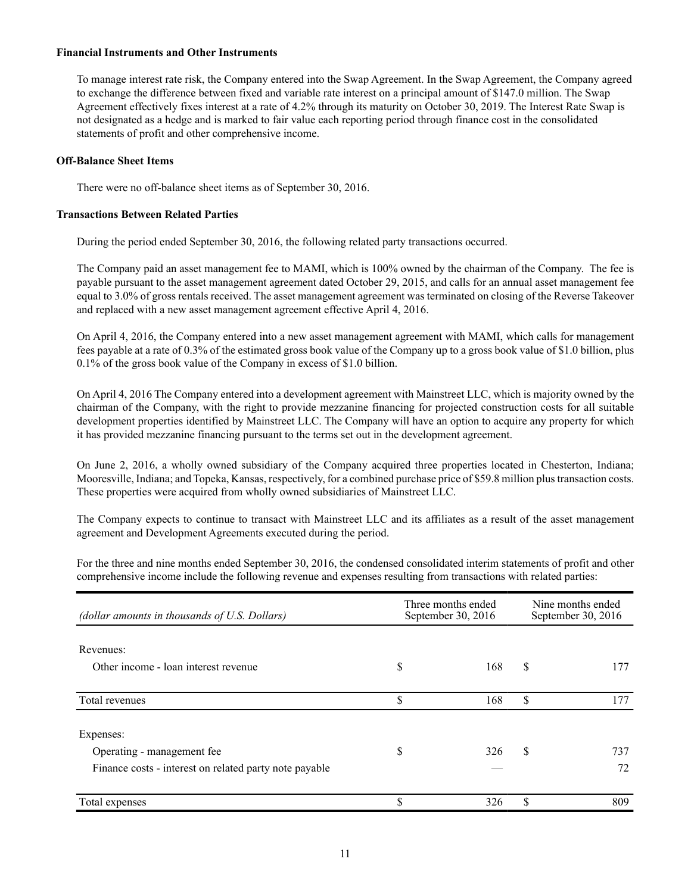## **Financial Instruments and Other Instruments**

To manage interest rate risk, the Company entered into the Swap Agreement. In the Swap Agreement, the Company agreed to exchange the difference between fixed and variable rate interest on a principal amount of \$147.0 million. The Swap Agreement effectively fixes interest at a rate of 4.2% through its maturity on October 30, 2019. The Interest Rate Swap is not designated as a hedge and is marked to fair value each reporting period through finance cost in the consolidated statements of profit and other comprehensive income.

#### **Off-Balance Sheet Items**

There were no off-balance sheet items as of September 30, 2016.

## **Transactions Between Related Parties**

During the period ended September 30, 2016, the following related party transactions occurred.

The Company paid an asset management fee to MAMI, which is 100% owned by the chairman of the Company. The fee is payable pursuant to the asset management agreement dated October 29, 2015, and calls for an annual asset management fee equal to 3.0% of gross rentals received. The asset management agreement was terminated on closing of the Reverse Takeover and replaced with a new asset management agreement effective April 4, 2016.

On April 4, 2016, the Company entered into a new asset management agreement with MAMI, which calls for management fees payable at a rate of 0.3% of the estimated gross book value of the Company up to a gross book value of \$1.0 billion, plus 0.1% of the gross book value of the Company in excess of \$1.0 billion.

On April 4, 2016 The Company entered into a development agreement with Mainstreet LLC, which is majority owned by the chairman of the Company, with the right to provide mezzanine financing for projected construction costs for all suitable development properties identified by Mainstreet LLC. The Company will have an option to acquire any property for which it has provided mezzanine financing pursuant to the terms set out in the development agreement.

On June 2, 2016, a wholly owned subsidiary of the Company acquired three properties located in Chesterton, Indiana; Mooresville, Indiana; and Topeka, Kansas, respectively, for a combined purchase price of \$59.8 million plus transaction costs. These properties were acquired from wholly owned subsidiaries of Mainstreet LLC.

The Company expects to continue to transact with Mainstreet LLC and its affiliates as a result of the asset management agreement and Development Agreements executed during the period.

For the three and nine months ended September 30, 2016, the condensed consolidated interim statements of profit and other comprehensive income include the following revenue and expenses resulting from transactions with related parties:

| (dollar amounts in thousands of U.S. Dollars)                                                     | Three months ended<br>September 30, 2016 | Nine months ended<br>September 30, 2016 |           |  |
|---------------------------------------------------------------------------------------------------|------------------------------------------|-----------------------------------------|-----------|--|
| Revenues:<br>Other income - loan interest revenue                                                 | \$<br>168                                | \$                                      | 177       |  |
| Total revenues                                                                                    | \$<br>168                                | \$                                      | 177       |  |
| Expenses:<br>Operating - management fee<br>Finance costs - interest on related party note payable | \$<br>326                                | \$.                                     | 737<br>72 |  |
| Total expenses                                                                                    | \$<br>326                                | \$                                      | 809       |  |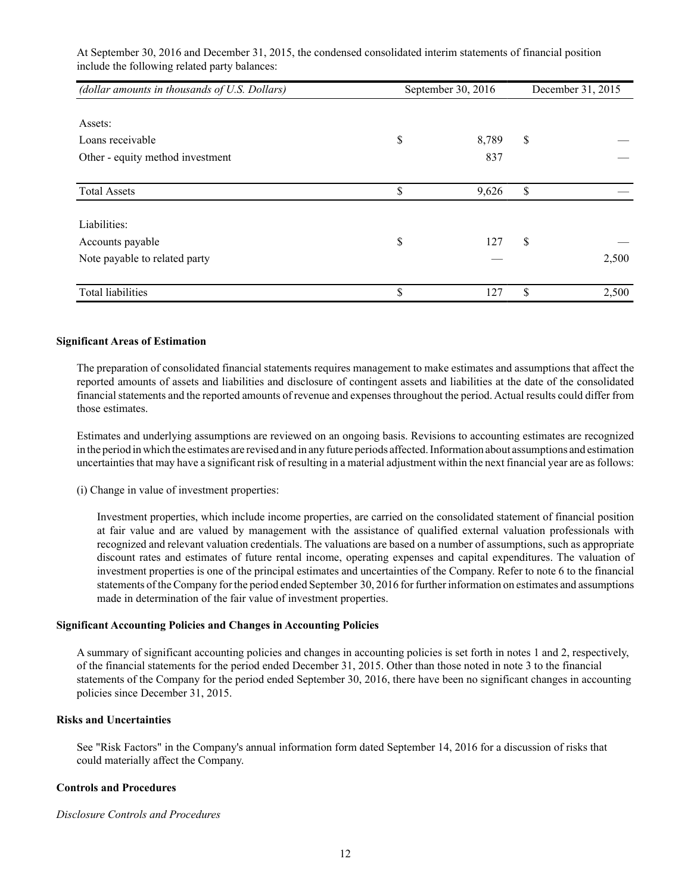At September 30, 2016 and December 31, 2015, the condensed consolidated interim statements of financial position include the following related party balances:

| (dollar amounts in thousands of U.S. Dollars) | September 30, 2016 |    |       |
|-----------------------------------------------|--------------------|----|-------|
|                                               |                    |    |       |
| Assets:                                       |                    |    |       |
| Loans receivable                              | \$<br>8,789        | \$ |       |
| Other - equity method investment              | 837                |    |       |
|                                               |                    |    |       |
| <b>Total Assets</b>                           | \$<br>9,626        | \$ |       |
|                                               |                    |    |       |
| Liabilities:                                  |                    |    |       |
| Accounts payable                              | \$<br>127          | \$ |       |
| Note payable to related party                 |                    |    | 2,500 |
|                                               |                    |    |       |
| <b>Total liabilities</b>                      | \$<br>127          | \$ | 2,500 |

#### **Significant Areas of Estimation**

The preparation of consolidated financial statements requires management to make estimates and assumptions that affect the reported amounts of assets and liabilities and disclosure of contingent assets and liabilities at the date of the consolidated financial statements and the reported amounts of revenue and expenses throughout the period. Actual results could differ from those estimates.

Estimates and underlying assumptions are reviewed on an ongoing basis. Revisions to accounting estimates are recognized in the period in which the estimates are revised and in any future periods affected. Information about assumptions and estimation uncertainties that may have a significant risk of resulting in a material adjustment within the next financial year are as follows:

(i) Change in value of investment properties:

Investment properties, which include income properties, are carried on the consolidated statement of financial position at fair value and are valued by management with the assistance of qualified external valuation professionals with recognized and relevant valuation credentials. The valuations are based on a number of assumptions, such as appropriate discount rates and estimates of future rental income, operating expenses and capital expenditures. The valuation of investment properties is one of the principal estimates and uncertainties of the Company. Refer to note 6 to the financial statements of the Company for the period ended September 30, 2016 for further information on estimates and assumptions made in determination of the fair value of investment properties.

#### **Significant Accounting Policies and Changes in Accounting Policies**

A summary of significant accounting policies and changes in accounting policies is set forth in notes 1 and 2, respectively, of the financial statements for the period ended December 31, 2015. Other than those noted in note 3 to the financial statements of the Company for the period ended September 30, 2016, there have been no significant changes in accounting policies since December 31, 2015.

## **Risks and Uncertainties**

See "Risk Factors" in the Company's annual information form dated September 14, 2016 for a discussion of risks that could materially affect the Company.

## **Controls and Procedures**

#### *Disclosure Controls and Procedures*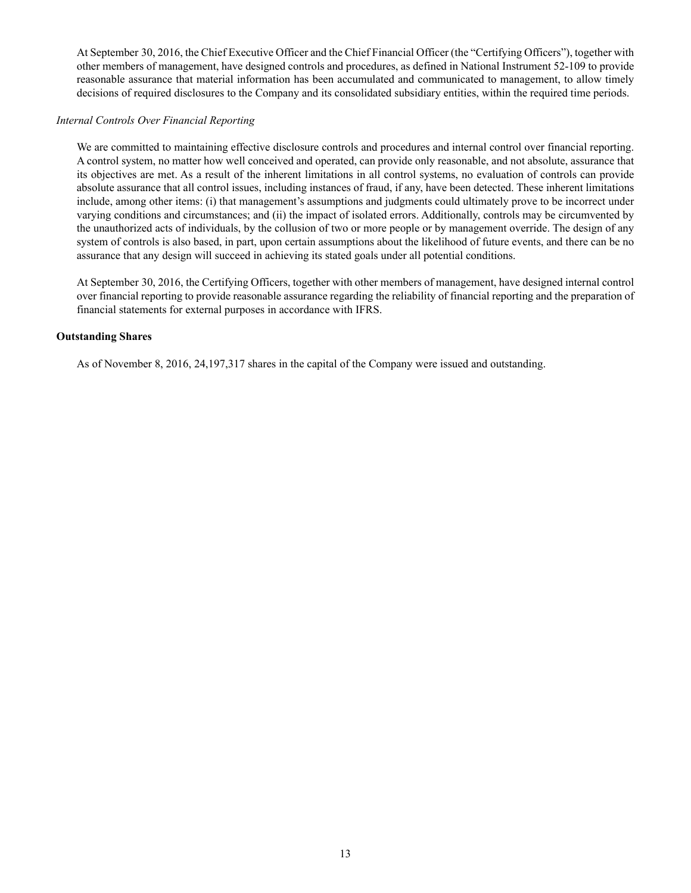At September 30, 2016, the Chief Executive Officer and the Chief Financial Officer (the "Certifying Officers"), together with other members of management, have designed controls and procedures, as defined in National Instrument 52-109 to provide reasonable assurance that material information has been accumulated and communicated to management, to allow timely decisions of required disclosures to the Company and its consolidated subsidiary entities, within the required time periods.

#### *Internal Controls Over Financial Reporting*

We are committed to maintaining effective disclosure controls and procedures and internal control over financial reporting. A control system, no matter how well conceived and operated, can provide only reasonable, and not absolute, assurance that its objectives are met. As a result of the inherent limitations in all control systems, no evaluation of controls can provide absolute assurance that all control issues, including instances of fraud, if any, have been detected. These inherent limitations include, among other items: (i) that management's assumptions and judgments could ultimately prove to be incorrect under varying conditions and circumstances; and (ii) the impact of isolated errors. Additionally, controls may be circumvented by the unauthorized acts of individuals, by the collusion of two or more people or by management override. The design of any system of controls is also based, in part, upon certain assumptions about the likelihood of future events, and there can be no assurance that any design will succeed in achieving its stated goals under all potential conditions.

At September 30, 2016, the Certifying Officers, together with other members of management, have designed internal control over financial reporting to provide reasonable assurance regarding the reliability of financial reporting and the preparation of financial statements for external purposes in accordance with IFRS.

## **Outstanding Shares**

As of November 8, 2016, 24,197,317 shares in the capital of the Company were issued and outstanding.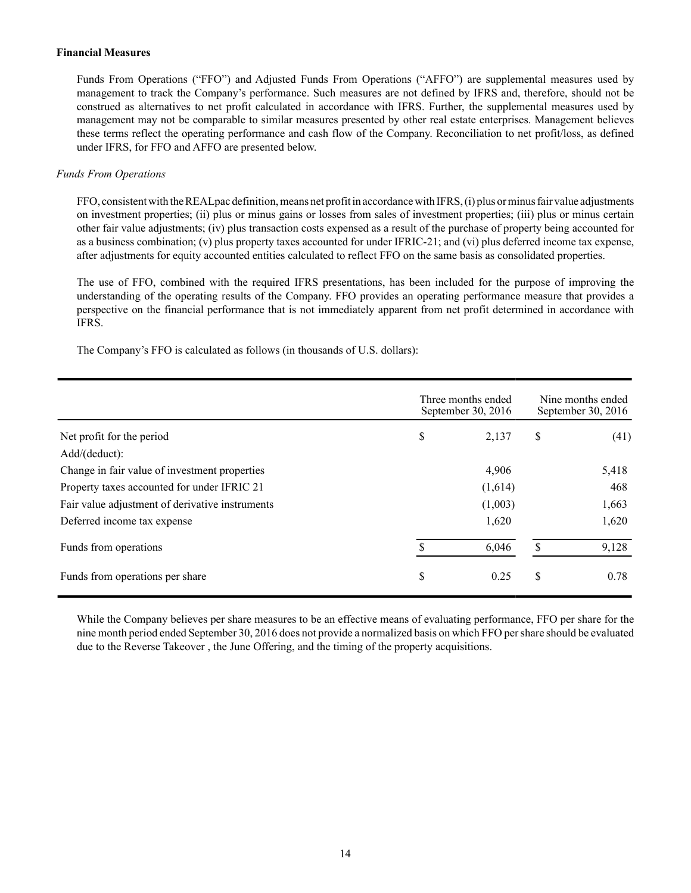### **Financial Measures**

Funds From Operations ("FFO") and Adjusted Funds From Operations ("AFFO") are supplemental measures used by management to track the Company's performance. Such measures are not defined by IFRS and, therefore, should not be construed as alternatives to net profit calculated in accordance with IFRS. Further, the supplemental measures used by management may not be comparable to similar measures presented by other real estate enterprises. Management believes these terms reflect the operating performance and cash flow of the Company. Reconciliation to net profit/loss, as defined under IFRS, for FFO and AFFO are presented below.

## *Funds From Operations*

FFO, consistent with the REALpac definition, means net profit in accordance with IFRS, (i) plus or minus fair value adjustments on investment properties; (ii) plus or minus gains or losses from sales of investment properties; (iii) plus or minus certain other fair value adjustments; (iv) plus transaction costs expensed as a result of the purchase of property being accounted for as a business combination; (v) plus property taxes accounted for under IFRIC-21; and (vi) plus deferred income tax expense, after adjustments for equity accounted entities calculated to reflect FFO on the same basis as consolidated properties.

The use of FFO, combined with the required IFRS presentations, has been included for the purpose of improving the understanding of the operating results of the Company. FFO provides an operating performance measure that provides a perspective on the financial performance that is not immediately apparent from net profit determined in accordance with IFRS.

The Company's FFO is calculated as follows (in thousands of U.S. dollars):

|                                                 | Three months ended<br>September 30, 2016 |         |    | Nine months ended<br>September 30, 2016 |  |  |
|-------------------------------------------------|------------------------------------------|---------|----|-----------------------------------------|--|--|
| Net profit for the period                       | \$<br>2,137                              |         | \$ | (41)                                    |  |  |
| Add/(deduct):                                   |                                          |         |    |                                         |  |  |
| Change in fair value of investment properties   |                                          | 4,906   |    | 5,418                                   |  |  |
| Property taxes accounted for under IFRIC 21     |                                          | (1,614) |    | 468                                     |  |  |
| Fair value adjustment of derivative instruments |                                          | (1,003) |    | 1,663                                   |  |  |
| Deferred income tax expense                     |                                          | 1,620   |    | 1,620                                   |  |  |
| Funds from operations                           | \$                                       | 6,046   | \$ | 9,128                                   |  |  |
| Funds from operations per share                 | \$                                       | 0.25    | \$ | 0.78                                    |  |  |

While the Company believes per share measures to be an effective means of evaluating performance, FFO per share for the nine month period ended September 30, 2016 does not provide a normalized basis on which FFO per share should be evaluated due to the Reverse Takeover , the June Offering, and the timing of the property acquisitions.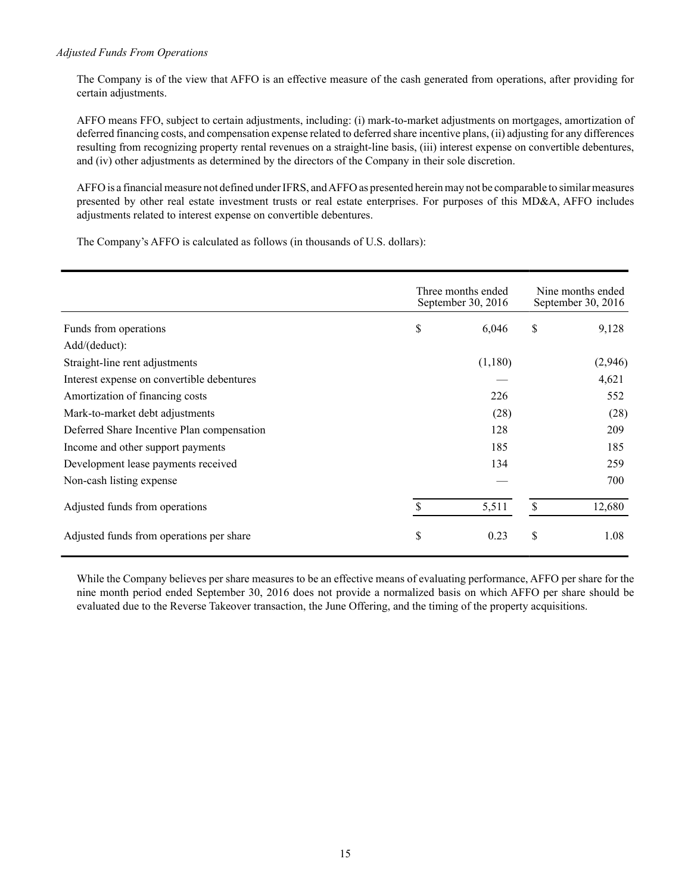## *Adjusted Funds From Operations*

The Company is of the view that AFFO is an effective measure of the cash generated from operations, after providing for certain adjustments.

AFFO means FFO, subject to certain adjustments, including: (i) mark-to-market adjustments on mortgages, amortization of deferred financing costs, and compensation expense related to deferred share incentive plans, (ii) adjusting for any differences resulting from recognizing property rental revenues on a straight-line basis, (iii) interest expense on convertible debentures, and (iv) other adjustments as determined by the directors of the Company in their sole discretion.

AFFO is a financial measure not defined under IFRS, and AFFO as presented herein may not be comparable to similar measures presented by other real estate investment trusts or real estate enterprises. For purposes of this MD&A, AFFO includes adjustments related to interest expense on convertible debentures.

The Company's AFFO is calculated as follows (in thousands of U.S. dollars):

|                                            | Three months ended<br>September 30, 2016 |         |    | Nine months ended<br>September 30, 2016 |  |
|--------------------------------------------|------------------------------------------|---------|----|-----------------------------------------|--|
| Funds from operations                      | \$                                       | 6,046   | \$ | 9,128                                   |  |
| Add/(deduct):                              |                                          |         |    |                                         |  |
| Straight-line rent adjustments             |                                          | (1,180) |    | (2,946)                                 |  |
| Interest expense on convertible debentures |                                          |         |    | 4,621                                   |  |
| Amortization of financing costs            |                                          | 226     |    | 552                                     |  |
| Mark-to-market debt adjustments            |                                          | (28)    |    | (28)                                    |  |
| Deferred Share Incentive Plan compensation |                                          | 128     |    | 209                                     |  |
| Income and other support payments          |                                          | 185     |    | 185                                     |  |
| Development lease payments received        |                                          | 134     |    | 259                                     |  |
| Non-cash listing expense                   |                                          |         |    | 700                                     |  |
| Adjusted funds from operations             | $\mathbf S$                              | 5,511   | \$ | 12,680                                  |  |
| Adjusted funds from operations per share   | \$                                       | 0.23    | \$ | 1.08                                    |  |

While the Company believes per share measures to be an effective means of evaluating performance, AFFO per share for the nine month period ended September 30, 2016 does not provide a normalized basis on which AFFO per share should be evaluated due to the Reverse Takeover transaction, the June Offering, and the timing of the property acquisitions.